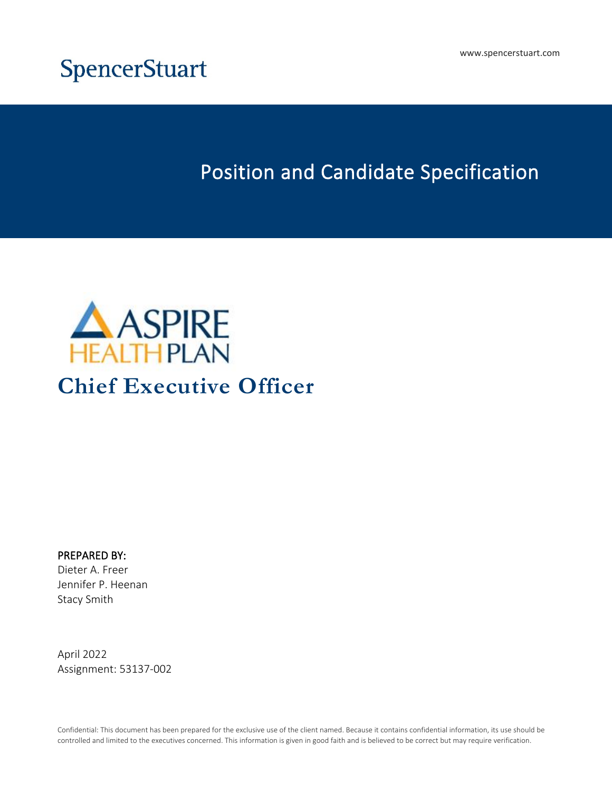# **SpencerStuart**

# **Position and Candidate Specification**



# **PREPARED BY:**

Dieter A. Freer Jennifer P. Heenan Stacy Smith

April 2022 Assignment: 53137-002

Confidential: This document has been prepared for the exclusive use of the client named. Because it contains confidential information, its use should be controlled and limited to the executives concerned. This information is given in good faith and is believed to be correct but may require verification.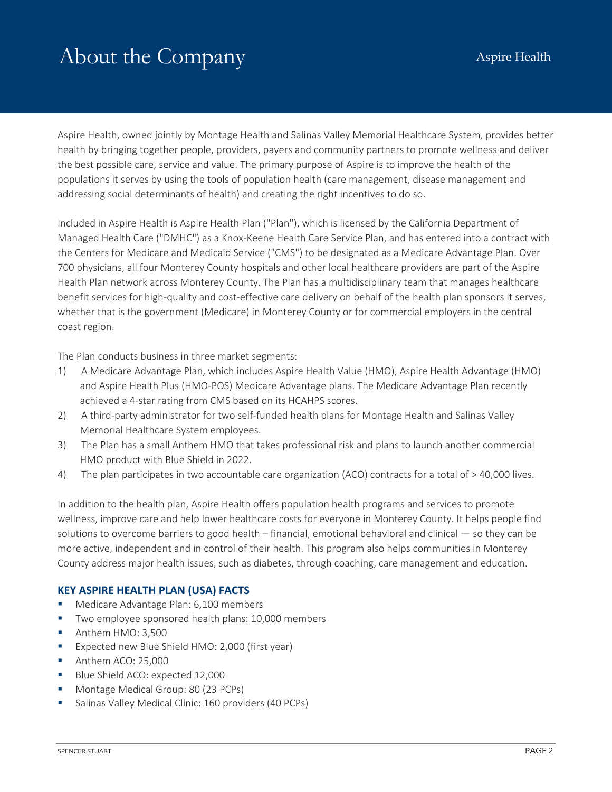# $\bf A$ bout the  $\bf Company$   $\bf A$ spire Health

Aspire Health, owned jointly by Montage Health and Salinas Valley Memorial Healthcare System, provides better health by bringing together people, providers, payers and community partners to promote wellness and deliver the best possible care, service and value. The primary purpose of Aspire is to improve the health of the populations it serves by using the tools of population health (care management, disease management and addressing social determinants of health) and creating the right incentives to do so.

Included in Aspire Health is Aspire Health Plan ("Plan"), which is licensed by the California Department of Managed Health Care ("DMHC") as a Knox-Keene Health Care Service Plan, and has entered into a contract with the Centers for Medicare and Medicaid Service ("CMS") to be designated as a Medicare Advantage Plan. Over 700 physicians, all four Monterey County hospitals and other local healthcare providers are part of the Aspire Health Plan network across Monterey County. The Plan has a multidisciplinary team that manages healthcare benefit services for high-quality and cost-effective care delivery on behalf of the health plan sponsors it serves, whether that is the government (Medicare) in Monterey County or for commercial employers in the central coast region.

The Plan conducts business in three market segments:

- 1) A Medicare Advantage Plan, which includes Aspire Health Value (HMO), Aspire Health Advantage (HMO) and Aspire Health Plus (HMO-POS) Medicare Advantage plans. The Medicare Advantage Plan recently achieved a 4-star rating from CMS based on its HCAHPS scores.
- 2) A third-party administrator for two self-funded health plans for Montage Health and Salinas Valley Memorial Healthcare System employees.
- 3) The Plan has a small Anthem HMO that takes professional risk and plans to launch another commercial HMO product with Blue Shield in 2022.
- 4) The plan participates in two accountable care organization (ACO) contracts for a total of > 40,000 lives.

In addition to the health plan, Aspire Health offers population health programs and services to promote wellness, improve care and help lower healthcare costs for everyone in Monterey County. It helps people find solutions to overcome barriers to good health – financial, emotional behavioral and clinical — so they can be more active, independent and in control of their health. This program also helps communities in Monterey County address major health issues, such as diabetes, through coaching, care management and education.

## **KEY ASPIRE HEALTH PLAN (USA) FACTS**

- Medicare Advantage Plan: 6,100 members
- **Two employee sponsored health plans: 10,000 members**
- Anthem HMO: 3,500
- Expected new Blue Shield HMO: 2,000 (first year)
- Anthem ACO: 25,000
- Blue Shield ACO: expected 12,000
- **Montage Medical Group: 80 (23 PCPs)**
- **Salinas Valley Medical Clinic: 160 providers (40 PCPs)**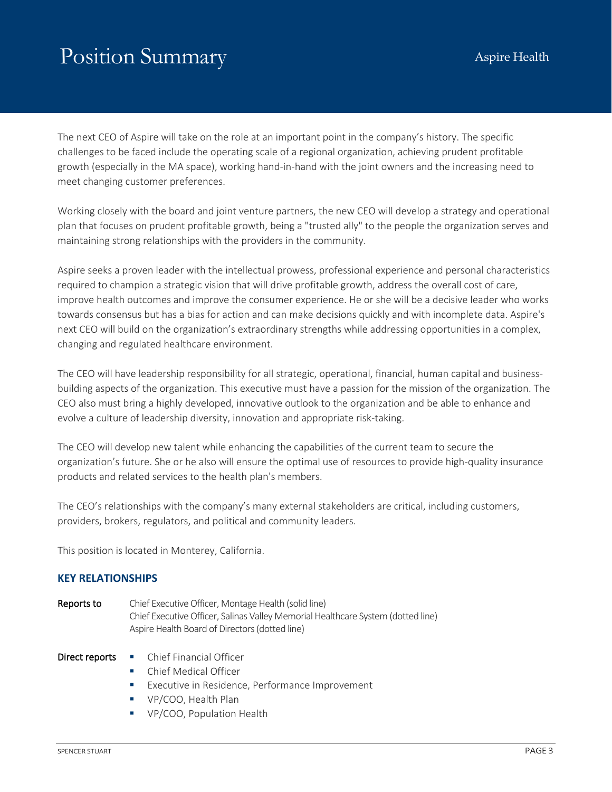# Position Summary and the contract of the Aspire Health

The next CEO of Aspire will take on the role at an important point in the company's history. The specific challenges to be faced include the operating scale of a regional organization, achieving prudent profitable growth (especially in the MA space), working hand-in-hand with the joint owners and the increasing need to meet changing customer preferences.

Working closely with the board and joint venture partners, the new CEO will develop a strategy and operational plan that focuses on prudent profitable growth, being a "trusted ally" to the people the organization serves and maintaining strong relationships with the providers in the community.

Aspire seeks a proven leader with the intellectual prowess, professional experience and personal characteristics required to champion a strategic vision that will drive profitable growth, address the overall cost of care, improve health outcomes and improve the consumer experience. He or she will be a decisive leader who works towards consensus but has a bias for action and can make decisions quickly and with incomplete data. Aspire's next CEO will build on the organization's extraordinary strengths while addressing opportunities in a complex, changing and regulated healthcare environment.

The CEO will have leadership responsibility for all strategic, operational, financial, human capital and businessbuilding aspects of the organization. This executive must have a passion for the mission of the organization. The CEO also must bring a highly developed, innovative outlook to the organization and be able to enhance and evolve a culture of leadership diversity, innovation and appropriate risk-taking.

The CEO will develop new talent while enhancing the capabilities of the current team to secure the organization's future. She or he also will ensure the optimal use of resources to provide high-quality insurance products and related services to the health plan's members.

The CEO's relationships with the company's many external stakeholders are critical, including customers, providers, brokers, regulators, and political and community leaders.

This position is located in Monterey, California.

## **KEY RELATIONSHIPS**

- **Reports to** Chief Executive Officer, Montage Health (solid line) Chief Executive Officer, Salinas Valley Memorial Healthcare System (dotted line) Aspire Health Board of Directors (dotted line)
- **Direct reports**  $\blacksquare$  Chief Financial Officer
	- Chief Medical Officer
	- **Executive in Residence, Performance Improvement**
	- **VP/COO, Health Plan**
	- **VP/COO, Population Health**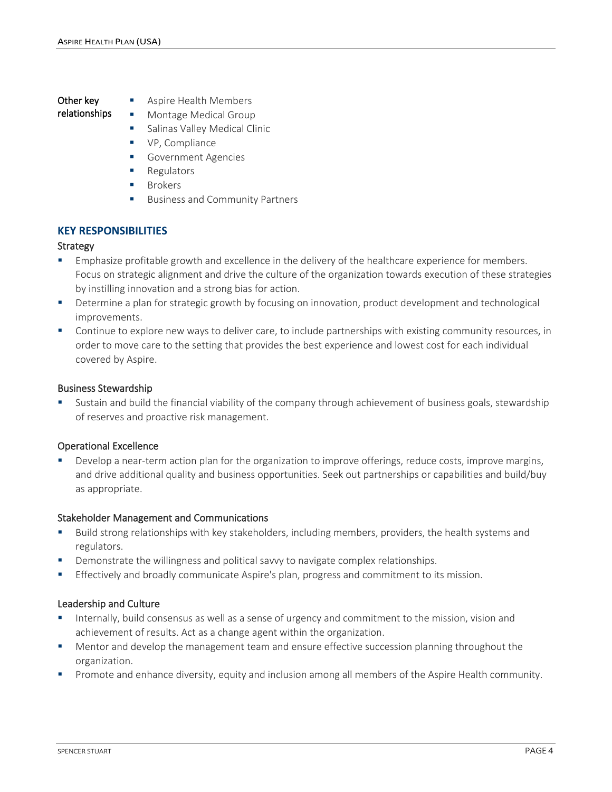#### **Other key relationships**

- Aspire Health Members
- Montage Medical Group
- **Salinas Valley Medical Clinic**
- **VP**, Compliance
- **Government Agencies**
- **Regulators**
- Brokers
- Business and Community Partners

## **KEY RESPONSIBILITIES**

#### **Strategy**

- **Emphasize profitable growth and excellence in the delivery of the healthcare experience for members.** Focus on strategic alignment and drive the culture of the organization towards execution of these strategies by instilling innovation and a strong bias for action.
- **•** Determine a plan for strategic growth by focusing on innovation, product development and technological improvements.
- Continue to explore new ways to deliver care, to include partnerships with existing community resources, in order to move care to the setting that provides the best experience and lowest cost for each individual covered by Aspire.

### **Business Stewardship**

 Sustain and build the financial viability of the company through achievement of business goals, stewardship of reserves and proactive risk management.

#### **Operational Excellence**

 Develop a near-term action plan for the organization to improve offerings, reduce costs, improve margins, and drive additional quality and business opportunities. Seek out partnerships or capabilities and build/buy as appropriate.

#### **Stakeholder Management and Communications**

- Build strong relationships with key stakeholders, including members, providers, the health systems and regulators.
- Demonstrate the willingness and political savvy to navigate complex relationships.
- Effectively and broadly communicate Aspire's plan, progress and commitment to its mission.

#### **Leadership and Culture**

- Internally, build consensus as well as a sense of urgency and commitment to the mission, vision and achievement of results. Act as a change agent within the organization.
- **Mentor and develop the management team and ensure effective succession planning throughout the** organization.
- **Promote and enhance diversity, equity and inclusion among all members of the Aspire Health community.**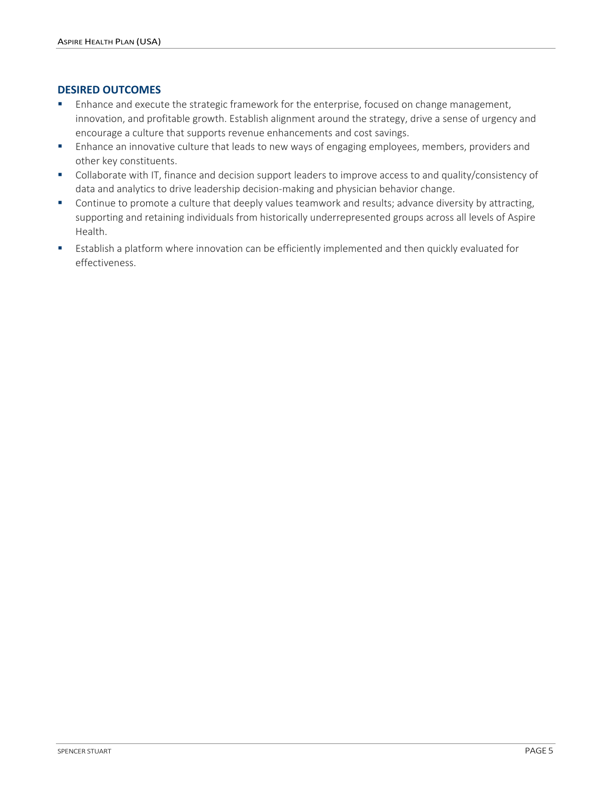#### **DESIRED OUTCOMES**

- **Enhance and execute the strategic framework for the enterprise, focused on change management,** innovation, and profitable growth. Establish alignment around the strategy, drive a sense of urgency and encourage a culture that supports revenue enhancements and cost savings.
- **E** Enhance an innovative culture that leads to new ways of engaging employees, members, providers and other key constituents.
- Collaborate with IT, finance and decision support leaders to improve access to and quality/consistency of data and analytics to drive leadership decision-making and physician behavior change.
- **Continue to promote a culture that deeply values teamwork and results; advance diversity by attracting,** supporting and retaining individuals from historically underrepresented groups across all levels of Aspire Health.
- Establish a platform where innovation can be efficiently implemented and then quickly evaluated for effectiveness.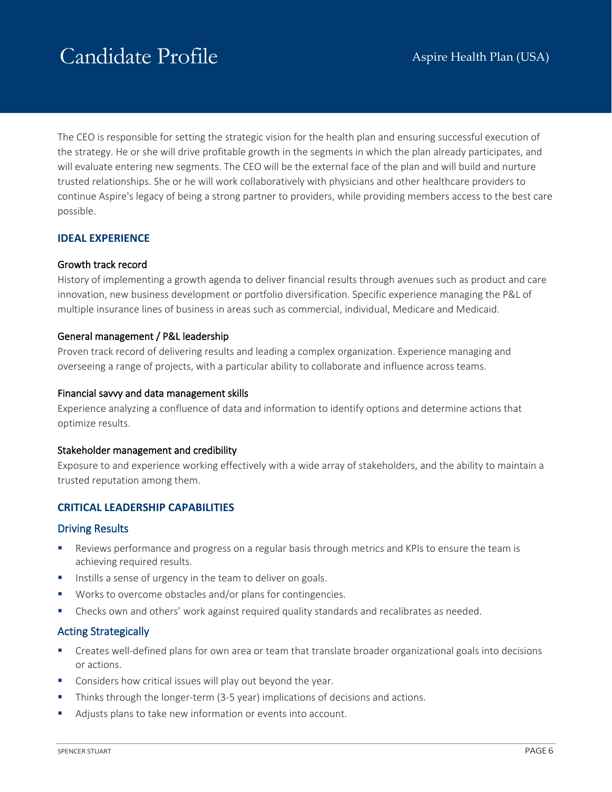# Candidate Profile Aspire Health Plan (USA)

The CEO is responsible for setting the strategic vision for the health plan and ensuring successful execution of the strategy. He or she will drive profitable growth in the segments in which the plan already participates, and will evaluate entering new segments. The CEO will be the external face of the plan and will build and nurture trusted relationships. She or he will work collaboratively with physicians and other healthcare providers to continue Aspire's legacy of being a strong partner to providers, while providing members access to the best care possible.

## **IDEAL EXPERIENCE**

### **Growth track record**

History of implementing a growth agenda to deliver financial results through avenues such as product and care innovation, new business development or portfolio diversification. Specific experience managing the P&L of multiple insurance lines of business in areas such as commercial, individual, Medicare and Medicaid.

#### **General management / P&L leadership**

Proven track record of delivering results and leading a complex organization. Experience managing and overseeing a range of projects, with a particular ability to collaborate and influence across teams.

#### **Financial savvy and data management skills**

Experience analyzing a confluence of data and information to identify options and determine actions that optimize results.

#### **Stakeholder management and credibility**

Exposure to and experience working effectively with a wide array of stakeholders, and the ability to maintain a trusted reputation among them.

#### **CRITICAL LEADERSHIP CAPABILITIES**

#### **Driving Results**

- **EXECT** Reviews performance and progress on a regular basis through metrics and KPIs to ensure the team is achieving required results.
- Instills a sense of urgency in the team to deliver on goals.
- Works to overcome obstacles and/or plans for contingencies.
- Checks own and others' work against required quality standards and recalibrates as needed.

#### **Acting Strategically**

- Creates well-defined plans for own area or team that translate broader organizational goals into decisions or actions.
- **Considers how critical issues will play out beyond the year.**
- **Thinks through the longer-term (3-5 year) implications of decisions and actions.**
- Adjusts plans to take new information or events into account.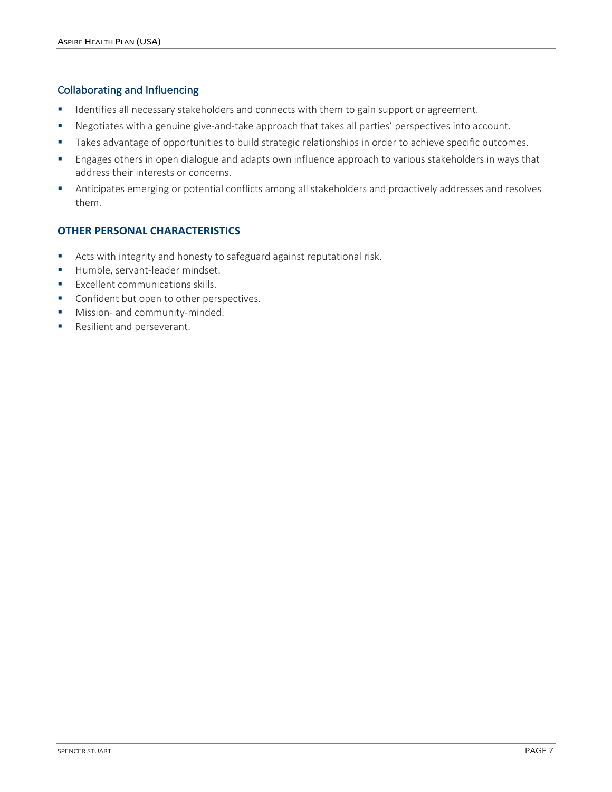# **Collaborating and Influencing**

- **If all 1** Identifies all necessary stakeholders and connects with them to gain support or agreement.
- Negotiates with a genuine give-and-take approach that takes all parties' perspectives into account.
- Takes advantage of opportunities to build strategic relationships in order to achieve specific outcomes.
- **Engages others in open dialogue and adapts own influence approach to various stakeholders in ways that** address their interests or concerns.
- Anticipates emerging or potential conflicts among all stakeholders and proactively addresses and resolves them.

# **OTHER PERSONAL CHARACTERISTICS**

- Acts with integrity and honesty to safeguard against reputational risk.
- Humble, servant-leader mindset.
- **Excellent communications skills.**
- Confident but open to other perspectives.
- **Mission- and community-minded.**
- Resilient and perseverant.